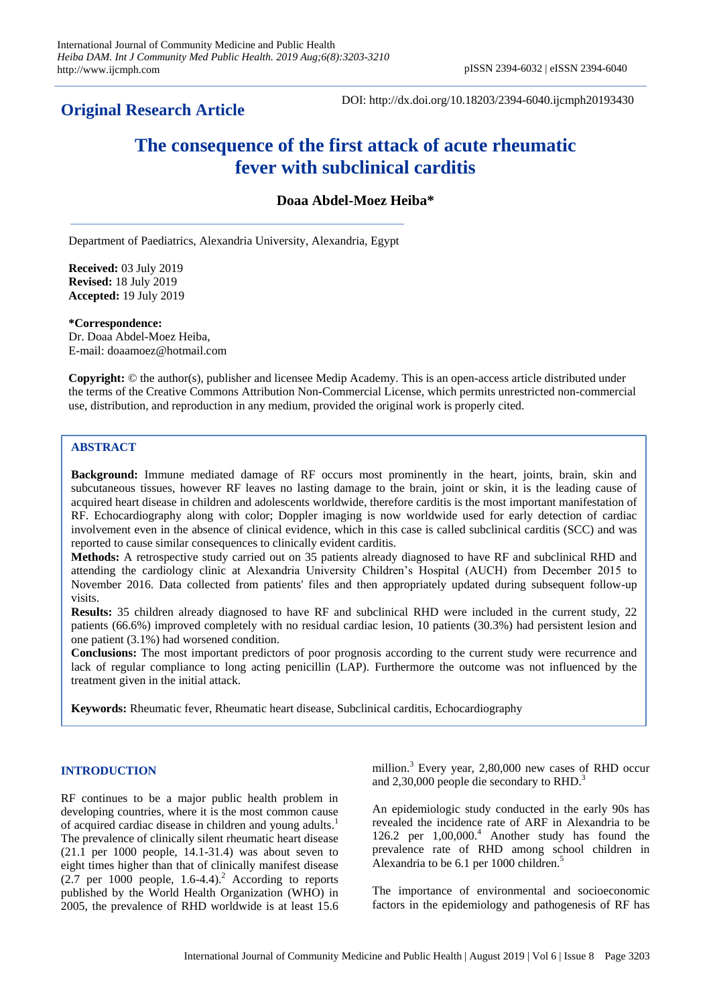**Original Research Article**

DOI: http://dx.doi.org/10.18203/2394-6040.ijcmph20193430

# **The consequence of the first attack of acute rheumatic fever with subclinical carditis**

# **Doaa Abdel-Moez Heiba\***

Department of Paediatrics, Alexandria University, Alexandria, Egypt

**Received:** 03 July 2019 **Revised:** 18 July 2019 **Accepted:** 19 July 2019

**\*Correspondence:** Dr. Doaa Abdel-Moez Heiba, E-mail: doaamoez@hotmail.com

**Copyright:** © the author(s), publisher and licensee Medip Academy. This is an open-access article distributed under the terms of the Creative Commons Attribution Non-Commercial License, which permits unrestricted non-commercial use, distribution, and reproduction in any medium, provided the original work is properly cited.

# **ABSTRACT**

**Background:** Immune mediated damage of RF occurs most prominently in the heart, joints, brain, skin and subcutaneous tissues, however RF leaves no lasting damage to the brain, joint or skin, it is the leading cause of acquired heart disease in children and adolescents worldwide, therefore carditis is the most important manifestation of RF. Echocardiography along with color; Doppler imaging is now worldwide used for early detection of cardiac involvement even in the absence of clinical evidence, which in this case is called subclinical carditis (SCC) and was reported to cause similar consequences to clinically evident carditis.

**Methods:** A retrospective study carried out on 35 patients already diagnosed to have RF and subclinical RHD and attending the cardiology clinic at Alexandria University Children's Hospital (AUCH) from December 2015 to November 2016. Data collected from patients' files and then appropriately updated during subsequent follow-up visits.

**Results:** 35 children already diagnosed to have RF and subclinical RHD were included in the current study, 22 patients (66.6%) improved completely with no residual cardiac lesion, 10 patients (30.3%) had persistent lesion and one patient (3.1%) had worsened condition.

**Conclusions:** The most important predictors of poor prognosis according to the current study were recurrence and lack of regular compliance to long acting penicillin (LAP). Furthermore the outcome was not influenced by the treatment given in the initial attack.

**Keywords:** Rheumatic fever, Rheumatic heart disease, Subclinical carditis, Echocardiography

### **INTRODUCTION**

RF continues to be a major public health problem in developing countries, where it is the most common cause of acquired cardiac disease in children and young adults.<sup>1</sup> The prevalence of clinically silent rheumatic heart disease (21.1 per 1000 people, 14.1-31.4) was about seven to eight times higher than that of clinically manifest disease  $(2.7 \text{ per } 1000 \text{ people}, 1.6-4.4).$ <sup>2</sup> According to reports published by the World Health Organization (WHO) in 2005, the prevalence of RHD worldwide is at least 15.6 million.<sup>3</sup> Every year, 2,80,000 new cases of RHD occur and 2,30,000 people die secondary to RHD.<sup>3</sup>

An epidemiologic study conducted in the early 90s has revealed the incidence rate of ARF in Alexandria to be 126.2 per 1,00,000.<sup>4</sup> Another study has found the prevalence rate of RHD among school children in Alexandria to be 6.1 per 1000 children.<sup>5</sup>

The importance of environmental and socioeconomic factors in the epidemiology and pathogenesis of RF has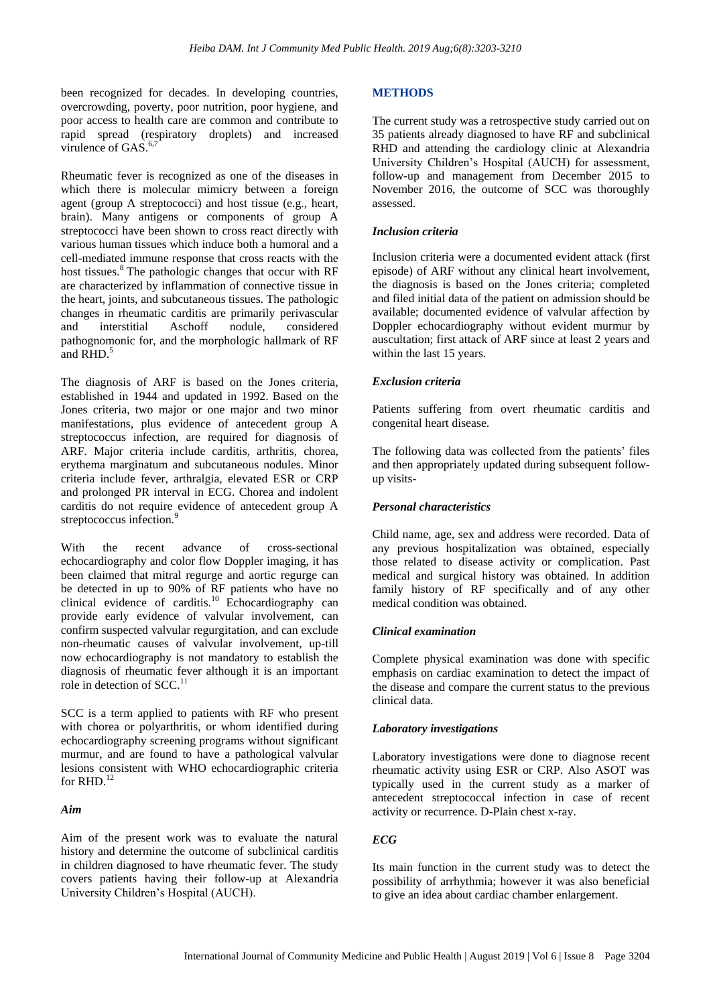been recognized for decades. In developing countries, overcrowding, poverty, poor nutrition, poor hygiene, and poor access to health care are common and contribute to rapid spread (respiratory droplets) and increased virulence of  $GAS$ .<sup>6,7</sup>

Rheumatic fever is recognized as one of the diseases in which there is molecular mimicry between a foreign agent (group A streptococci) and host tissue (e.g., heart, brain). Many antigens or components of group A streptococci have been shown to cross react directly with various human tissues which induce both a humoral and a cell-mediated immune response that cross reacts with the host tissues.<sup>8</sup> The pathologic changes that occur with RF are characterized by inflammation of connective tissue in the heart, joints, and subcutaneous tissues. The pathologic changes in rheumatic carditis are primarily perivascular and interstitial Aschoff nodule, considered pathognomonic for, and the morphologic hallmark of RF and RHD.<sup>5</sup>

The diagnosis of ARF is based on the Jones criteria, established in 1944 and updated in 1992. Based on the Jones criteria, two major or one major and two minor manifestations, plus evidence of antecedent group A streptococcus infection, are required for diagnosis of ARF. Major criteria include carditis, arthritis, chorea, erythema marginatum and subcutaneous nodules. Minor criteria include fever, arthralgia, elevated ESR or CRP and prolonged PR interval in ECG. Chorea and indolent carditis do not require evidence of antecedent group A streptococcus infection.<sup>9</sup>

With the recent advance of cross-sectional echocardiography and color flow Doppler imaging, it has been claimed that mitral regurge and aortic regurge can be detected in up to 90% of RF patients who have no clinical evidence of carditis.<sup>10</sup> Echocardiography can provide early evidence of valvular involvement, can confirm suspected valvular regurgitation, and can exclude non-rheumatic causes of valvular involvement, up-till now echocardiography is not mandatory to establish the diagnosis of rheumatic fever although it is an important role in detection of SCC.<sup>11</sup>

SCC is a term applied to patients with RF who present with chorea or polyarthritis, or whom identified during echocardiography screening programs without significant murmur, and are found to have a pathological valvular lesions consistent with WHO echocardiographic criteria for RHD $^{12}$ 

### *Aim*

Aim of the present work was to evaluate the natural history and determine the outcome of subclinical carditis in children diagnosed to have rheumatic fever. The study covers patients having their follow-up at Alexandria University Children's Hospital (AUCH).

## **METHODS**

The current study was a retrospective study carried out on 35 patients already diagnosed to have RF and subclinical RHD and attending the cardiology clinic at Alexandria University Children's Hospital (AUCH) for assessment, follow-up and management from December 2015 to November 2016, the outcome of SCC was thoroughly assessed.

#### *Inclusion criteria*

Inclusion criteria were a documented evident attack (first episode) of ARF without any clinical heart involvement, the diagnosis is based on the Jones criteria; completed and filed initial data of the patient on admission should be available; documented evidence of valvular affection by Doppler echocardiography without evident murmur by auscultation; first attack of ARF since at least 2 years and within the last 15 years.

#### *Exclusion criteria*

Patients suffering from overt rheumatic carditis and congenital heart disease.

The following data was collected from the patients' files and then appropriately updated during subsequent followup visits-

### *Personal characteristics*

Child name, age, sex and address were recorded. Data of any previous hospitalization was obtained, especially those related to disease activity or complication. Past medical and surgical history was obtained. In addition family history of RF specifically and of any other medical condition was obtained.

### *Clinical examination*

Complete physical examination was done with specific emphasis on cardiac examination to detect the impact of the disease and compare the current status to the previous clinical data.

# *Laboratory investigations*

Laboratory investigations were done to diagnose recent rheumatic activity using ESR or CRP. Also ASOT was typically used in the current study as a marker of antecedent streptococcal infection in case of recent activity or recurrence. D-Plain chest x-ray.

### *ECG*

Its main function in the current study was to detect the possibility of arrhythmia; however it was also beneficial to give an idea about cardiac chamber enlargement.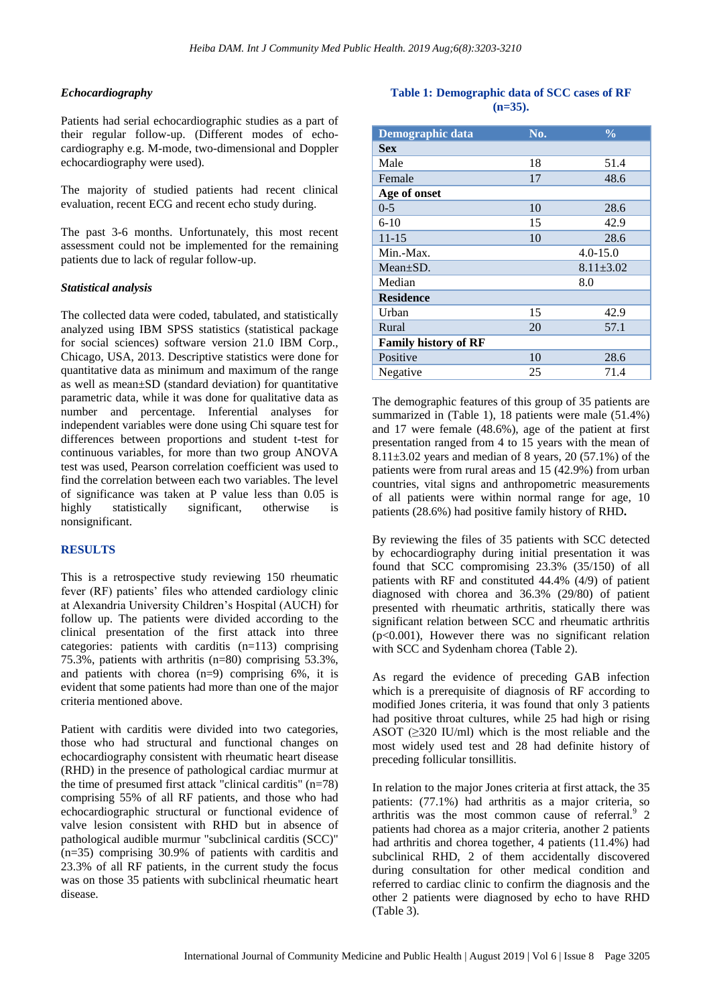# *Echocardiography*

Patients had serial echocardiographic studies as a part of their regular follow-up. (Different modes of echocardiography e.g. M-mode, two-dimensional and Doppler echocardiography were used).

The majority of studied patients had recent clinical evaluation, recent ECG and recent echo study during.

The past 3-6 months. Unfortunately, this most recent assessment could not be implemented for the remaining patients due to lack of regular follow-up.

#### *Statistical analysis*

The collected data were coded, tabulated, and statistically analyzed using IBM SPSS statistics (statistical package for social sciences) software version 21.0 IBM Corp., Chicago, USA, 2013. Descriptive statistics were done for quantitative data as minimum and maximum of the range as well as mean±SD (standard deviation) for quantitative parametric data, while it was done for qualitative data as number and percentage. Inferential analyses for independent variables were done using Chi square test for differences between proportions and student t-test for continuous variables, for more than two group ANOVA test was used, Pearson correlation coefficient was used to find the correlation between each two variables. The level of significance was taken at P value less than 0.05 is highly statistically significant, otherwise is nonsignificant.

### **RESULTS**

This is a retrospective study reviewing 150 rheumatic fever (RF) patients' files who attended cardiology clinic at Alexandria University Children's Hospital (AUCH) for follow up. The patients were divided according to the clinical presentation of the first attack into three categories: patients with carditis (n=113) comprising 75.3%, patients with arthritis (n=80) comprising 53.3%, and patients with chorea  $(n=9)$  comprising 6%, it is evident that some patients had more than one of the major criteria mentioned above.

Patient with carditis were divided into two categories, those who had structural and functional changes on echocardiography consistent with rheumatic heart disease (RHD) in the presence of pathological cardiac murmur at the time of presumed first attack "clinical carditis" (n=78) comprising 55% of all RF patients, and those who had echocardiographic structural or functional evidence of valve lesion consistent with RHD but in absence of pathological audible murmur "subclinical carditis (SCC)" (n=35) comprising 30.9% of patients with carditis and 23.3% of all RF patients, in the current study the focus was on those 35 patients with subclinical rheumatic heart disease.

# **Table 1: Demographic data of SCC cases of RF (n=35).**

| Demographic data            | No. | $\frac{0}{0}$   |  |  |  |
|-----------------------------|-----|-----------------|--|--|--|
| <b>Sex</b>                  |     |                 |  |  |  |
| Male                        | 18  | 51.4            |  |  |  |
| Female                      | 17  | 48.6            |  |  |  |
| Age of onset                |     |                 |  |  |  |
| $0 - 5$                     | 10  | 28.6            |  |  |  |
| $6-10$                      | 15  | 42.9            |  |  |  |
| $11 - 15$                   | 10  | 28.6            |  |  |  |
| Min.-Max.                   |     | $4.0 - 15.0$    |  |  |  |
| $Mean \pm SD$ .             |     | $8.11 \pm 3.02$ |  |  |  |
| Median                      |     | 8.0             |  |  |  |
| <b>Residence</b>            |     |                 |  |  |  |
| Urban                       | 15  | 42.9            |  |  |  |
| Rural                       | 20  | 57.1            |  |  |  |
| <b>Family history of RF</b> |     |                 |  |  |  |
| Positive                    | 10  | 28.6            |  |  |  |
| Negative                    | 25  | 71.4            |  |  |  |

The demographic features of this group of 35 patients are summarized in (Table 1), 18 patients were male (51.4%) and 17 were female (48.6%), age of the patient at first presentation ranged from 4 to 15 years with the mean of  $8.11\pm3.02$  years and median of 8 years, 20 (57.1%) of the patients were from rural areas and 15 (42.9%) from urban countries, vital signs and anthropometric measurements of all patients were within normal range for age, 10 patients (28.6%) had positive family history of RHD**.**

By reviewing the files of 35 patients with SCC detected by echocardiography during initial presentation it was found that SCC compromising 23.3% (35/150) of all patients with RF and constituted 44.4% (4/9) of patient diagnosed with chorea and 36.3% (29/80) of patient presented with rheumatic arthritis, statically there was significant relation between SCC and rheumatic arthritis  $(p<0.001)$ . However there was no significant relation with SCC and Sydenham chorea (Table 2).

As regard the evidence of preceding GAB infection which is a prerequisite of diagnosis of RF according to modified Jones criteria, it was found that only 3 patients had positive throat cultures, while 25 had high or rising ASOT (≥320 IU/ml) which is the most reliable and the most widely used test and 28 had definite history of preceding follicular tonsillitis.

In relation to the major Jones criteria at first attack, the 35 patients: (77.1%) had arthritis as a major criteria, so  $arthritis$  was the most common cause of referral. $9$  2 patients had chorea as a major criteria, another 2 patients had arthritis and chorea together, 4 patients (11.4%) had subclinical RHD, 2 of them accidentally discovered during consultation for other medical condition and referred to cardiac clinic to confirm the diagnosis and the other 2 patients were diagnosed by echo to have RHD (Table 3).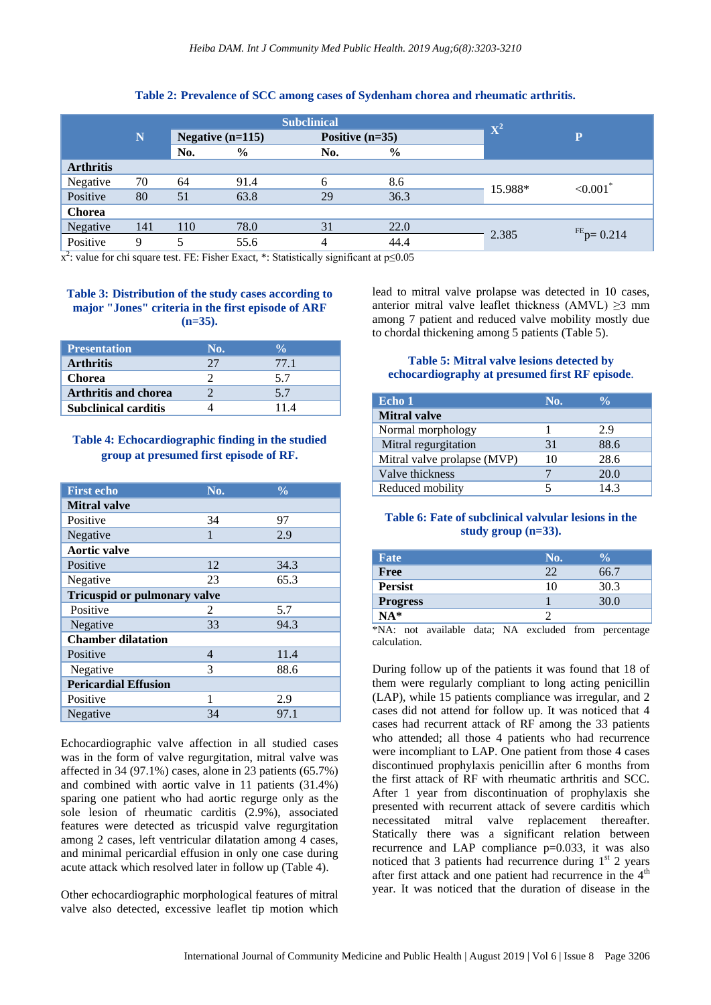#### **Table 2: Prevalence of SCC among cases of Sydenham chorea and rheumatic arthritis.**

|                  |     | ${\bf X}^2$        |      |                   |               |         |                        |  |   |
|------------------|-----|--------------------|------|-------------------|---------------|---------|------------------------|--|---|
|                  | N   | Negative $(n=115)$ |      | Positive $(n=35)$ |               |         |                        |  | D |
|                  |     | No.                | $\%$ | No.               | $\frac{0}{0}$ |         |                        |  |   |
| <b>Arthritis</b> |     |                    |      |                   |               |         |                        |  |   |
| Negative         | 70  | 64                 | 91.4 | 6                 | 8.6           | 15.988* | $< 0.001$ <sup>*</sup> |  |   |
| Positive         | 80  | 51                 | 63.8 | 29                | 36.3          |         |                        |  |   |
| <b>Chorea</b>    |     |                    |      |                   |               |         |                        |  |   |
| Negative         | 141 | 110                | 78.0 | 31                | 22.0          |         | $PE$ p= 0.214          |  |   |
| Positive         | Q   |                    | 55.6 | 4                 | 44.4          | 2.385   |                        |  |   |

 $x^2$ : value for chi square test. FE: Fisher Exact, \*: Statistically significant at p≤0.05

#### **Table 3: Distribution of the study cases according to major "Jones" criteria in the first episode of ARF (n=35).**

| <b>Presentation</b>         | No. | $\frac{0}{\alpha}$ |
|-----------------------------|-----|--------------------|
| <b>Arthritis</b>            | 27  | 77.1               |
| <b>Chorea</b>               |     | 57                 |
| <b>Arthritis and chorea</b> |     | 5.7                |
| <b>Subclinical carditis</b> |     | 114                |

# **Table 4: Echocardiographic finding in the studied group at presumed first episode of RF.**

| <b>First echo</b>            | No.            | $\frac{0}{0}$ |
|------------------------------|----------------|---------------|
| <b>Mitral valve</b>          |                |               |
| Positive                     | 34             | 97            |
| Negative                     | 1              | 2.9           |
| <b>Aortic valve</b>          |                |               |
| Positive                     | 12             | 34.3          |
| Negative                     | 23             | 65.3          |
| Tricuspid or pulmonary valve |                |               |
| Positive                     | 2              | 5.7           |
| Negative                     | 33             | 94.3          |
| <b>Chamber dilatation</b>    |                |               |
| Positive                     | $\overline{4}$ | 11.4          |
| Negative                     | 3              | 88.6          |
| <b>Pericardial Effusion</b>  |                |               |
| Positive                     | 1              | 2.9           |
| Negative                     | 34             | 97.1          |

Echocardiographic valve affection in all studied cases was in the form of valve regurgitation, mitral valve was affected in 34 (97.1%) cases, alone in 23 patients (65.7%) and combined with aortic valve in 11 patients (31.4%) sparing one patient who had aortic regurge only as the sole lesion of rheumatic carditis (2.9%), associated features were detected as tricuspid valve regurgitation among 2 cases, left ventricular dilatation among 4 cases, and minimal pericardial effusion in only one case during acute attack which resolved later in follow up (Table 4).

Other echocardiographic morphological features of mitral valve also detected, excessive leaflet tip motion which lead to mitral valve prolapse was detected in 10 cases, anterior mitral valve leaflet thickness (AMVL)  $\geq$ 3 mm among 7 patient and reduced valve mobility mostly due to chordal thickening among 5 patients (Table 5).

#### **Table 5: Mitral valve lesions detected by echocardiography at presumed first RF episode**.

| Echo 1                      | No. | $\frac{0}{0}$ |
|-----------------------------|-----|---------------|
| <b>Mitral valve</b>         |     |               |
| Normal morphology           |     | 2.9           |
| Mitral regurgitation        | 31  | 88.6          |
| Mitral valve prolapse (MVP) | 10  | 28.6          |
| Valve thickness             |     | 20.0          |
| Reduced mobility            |     | 14.3          |

#### **Table 6: Fate of subclinical valvular lesions in the study group (n=33).**

| Fate                                  | No.      | ΖO   |
|---------------------------------------|----------|------|
| Free                                  | 22       | 66.7 |
| <b>Persist</b>                        | 10       | 30.3 |
| <b>Progress</b>                       |          | 30.0 |
| $NA*$                                 |          |      |
| .<br>$\cdots$<br>$\sim$ $\sim$ $\sim$ | $\cdots$ |      |

\*NA: not available data; NA excluded from percentage calculation.

During follow up of the patients it was found that 18 of them were regularly compliant to long acting penicillin (LAP), while 15 patients compliance was irregular, and 2 cases did not attend for follow up. It was noticed that 4 cases had recurrent attack of RF among the 33 patients who attended; all those 4 patients who had recurrence were incompliant to LAP. One patient from those 4 cases discontinued prophylaxis penicillin after 6 months from the first attack of RF with rheumatic arthritis and SCC. After 1 year from discontinuation of prophylaxis she presented with recurrent attack of severe carditis which necessitated mitral valve replacement thereafter. Statically there was a significant relation between recurrence and LAP compliance p=0.033, it was also noticed that 3 patients had recurrence during  $1<sup>st</sup>$  2 years after first attack and one patient had recurrence in the  $4<sup>th</sup>$ year. It was noticed that the duration of disease in the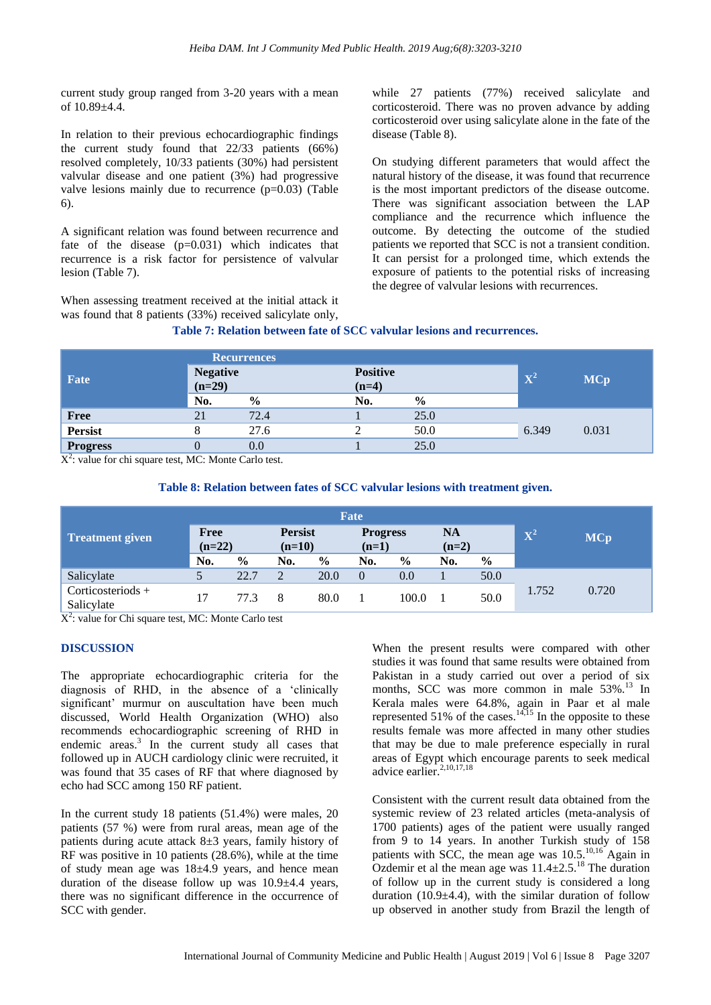current study group ranged from 3-20 years with a mean of 10.89±4.4.

In relation to their previous echocardiographic findings the current study found that 22/33 patients (66%) resolved completely, 10/33 patients (30%) had persistent valvular disease and one patient (3%) had progressive valve lesions mainly due to recurrence  $(p=0.03)$  (Table 6).

A significant relation was found between recurrence and fate of the disease  $(p=0.031)$  which indicates that recurrence is a risk factor for persistence of valvular lesion (Table 7).

When assessing treatment received at the initial attack it was found that 8 patients (33%) received salicylate only, while 27 patients (77%) received salicylate and corticosteroid. There was no proven advance by adding corticosteroid over using salicylate alone in the fate of the disease (Table 8).

On studying different parameters that would affect the natural history of the disease, it was found that recurrence is the most important predictors of the disease outcome. There was significant association between the LAP compliance and the recurrence which influence the outcome. By detecting the outcome of the studied patients we reported that SCC is not a transient condition. It can persist for a prolonged time, which extends the exposure of patients to the potential risks of increasing the degree of valvular lesions with recurrences.

|  | Table 7: Relation between fate of SCC valvular lesions and recurrences. |  |  |  |  |  |
|--|-------------------------------------------------------------------------|--|--|--|--|--|
|--|-------------------------------------------------------------------------|--|--|--|--|--|

|                 |                             | <b>Recurrences</b> |                            |      |             |            |
|-----------------|-----------------------------|--------------------|----------------------------|------|-------------|------------|
| Fate            | <b>Negative</b><br>$(n=29)$ |                    | <b>Positive</b><br>$(n=4)$ |      | ${\bf X}^2$ | <b>MCp</b> |
|                 | No.                         | $\%$               | No.                        | $\%$ |             |            |
| <b>Free</b>     | 21                          | 72.4               |                            | 25.0 |             |            |
| <b>Persist</b>  |                             | 27.6               |                            | 50.0 | 6.349       | 0.031      |
| <b>Progress</b> |                             | 0.0                |                            | 25.0 |             |            |

 $X^2$ : value for chi square test, MC: Monte Carlo test.

#### **Table 8: Relation between fates of SCC valvular lesions with treatment given.**

|                                 | <b>Fate</b>             |               |                            |               |                            |               |               |                |             |            |
|---------------------------------|-------------------------|---------------|----------------------------|---------------|----------------------------|---------------|---------------|----------------|-------------|------------|
| Treatment given                 | <b>Free</b><br>$(n=22)$ |               | <b>Persist</b><br>$(n=10)$ |               | <b>Progress</b><br>$(n=1)$ |               | NA<br>$(n=2)$ |                | ${\bf X}^2$ | <b>MCp</b> |
|                                 | No.                     | $\frac{6}{9}$ | No.                        | $\frac{6}{9}$ | No.                        | $\frac{6}{6}$ | No.           | $\frac{6}{10}$ |             |            |
| Salicylate                      |                         | 22.7          | 2                          | 20.0          | $\theta$                   | 0.0           |               | 50.0           |             |            |
| Corticosteriods +<br>Salicylate |                         | 77.3          | 8                          | 80.0          |                            | 100.0         |               | 50.0           | 1.752       | 0.720      |

X<sup>2</sup>: value for Chi square test, MC: Monte Carlo test

## **DISCUSSION**

The appropriate echocardiographic criteria for the diagnosis of RHD, in the absence of a 'clinically significant' murmur on auscultation have been much discussed, World Health Organization (WHO) also recommends echocardiographic screening of RHD in endemic areas.<sup>3</sup> In the current study all cases that followed up in AUCH cardiology clinic were recruited, it was found that 35 cases of RF that where diagnosed by echo had SCC among 150 RF patient.

In the current study 18 patients (51.4%) were males, 20 patients (57 %) were from rural areas, mean age of the patients during acute attack 8±3 years, family history of RF was positive in 10 patients (28.6%), while at the time of study mean age was 18±4.9 years, and hence mean duration of the disease follow up was 10.9±4.4 years, there was no significant difference in the occurrence of SCC with gender.

When the present results were compared with other studies it was found that same results were obtained from Pakistan in a study carried out over a period of six months, SCC was more common in male 53%.<sup>13</sup> In Kerala males were 64.8%, again in Paar et al male represented  $51\%$  of the cases.<sup>14,15</sup> In the opposite to these results female was more affected in many other studies that may be due to male preference especially in rural areas of Egypt which encourage parents to seek medical advice earlier.<sup>2,10,17,18</sup>

Consistent with the current result data obtained from the systemic review of 23 related articles (meta-analysis of 1700 patients) ages of the patient were usually ranged from 9 to 14 years. In another Turkish study of 158 patients with SCC, the mean age was  $10.5$ .<sup>10,16</sup> Again in Ozdemir et al the mean age was  $11.4 \pm 2.5$ .<sup>18</sup> The duration of follow up in the current study is considered a long duration (10.9 $\pm$ 4.4), with the similar duration of follow up observed in another study from Brazil the length of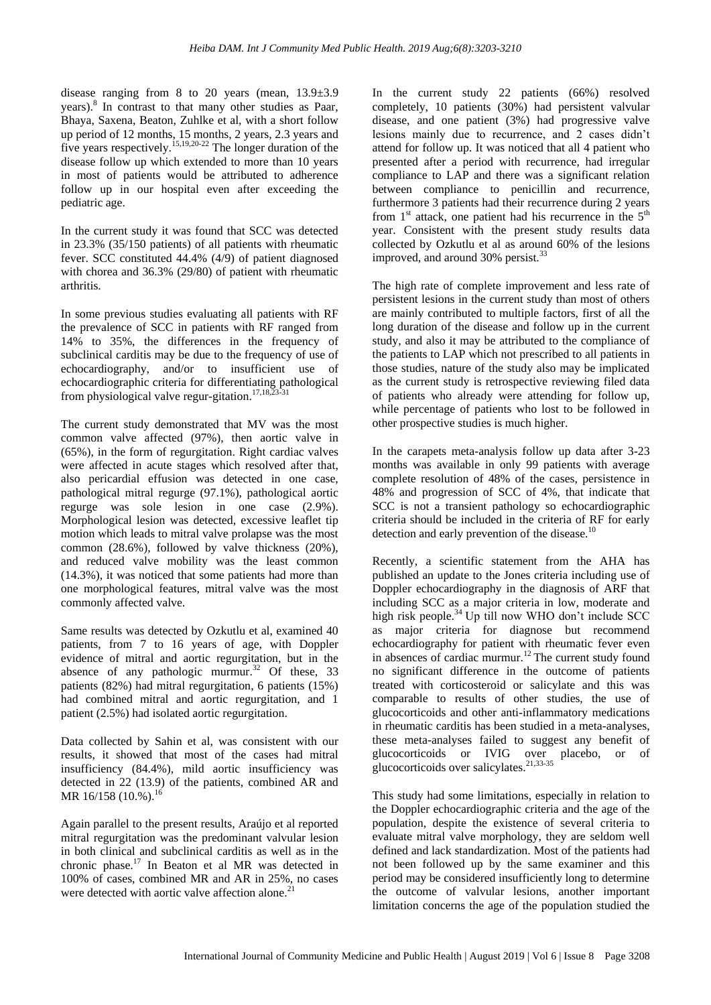disease ranging from 8 to 20 years (mean,  $13.9 \pm 3.9$ ) years).<sup>8</sup> In contrast to that many other studies as Paar, Bhaya, Saxena, Beaton, Zuhlke et al, with a short follow up period of 12 months, 15 months, 2 years, 2.3 years and the years respectively.<sup>15,19,20-22</sup> The longer duration of the disease follow up which extended to more than 10 years in most of patients would be attributed to adherence follow up in our hospital even after exceeding the pediatric age.

In the current study it was found that SCC was detected in 23.3% (35/150 patients) of all patients with rheumatic fever. SCC constituted 44.4% (4/9) of patient diagnosed with chorea and 36.3% (29/80) of patient with rheumatic arthritis.

In some previous studies evaluating all patients with RF the prevalence of SCC in patients with RF ranged from 14% to 35%, the differences in the frequency of subclinical carditis may be due to the frequency of use of echocardiography, and/or to insufficient use of echocardiographic criteria for differentiating pathological from physiological valve regur-gitation.<sup>17,18,23-31</sup>

The current study demonstrated that MV was the most common valve affected (97%), then aortic valve in (65%), in the form of regurgitation. Right cardiac valves were affected in acute stages which resolved after that, also pericardial effusion was detected in one case, pathological mitral regurge (97.1%), pathological aortic regurge was sole lesion in one case (2.9%). Morphological lesion was detected, excessive leaflet tip motion which leads to mitral valve prolapse was the most common (28.6%), followed by valve thickness (20%), and reduced valve mobility was the least common (14.3%), it was noticed that some patients had more than one morphological features, mitral valve was the most commonly affected valve.

Same results was detected by Ozkutlu et al, examined 40 patients, from 7 to 16 years of age, with Doppler evidence of mitral and aortic regurgitation, but in the absence of any pathologic murmur.<sup>32</sup> Of these, 33 patients (82%) had mitral regurgitation, 6 patients (15%) had combined mitral and aortic regurgitation, and 1 patient (2.5%) had isolated aortic regurgitation.

Data collected by Sahin et al, was consistent with our results, it showed that most of the cases had mitral insufficiency (84.4%), mild aortic insufficiency was detected in 22 (13.9) of the patients, combined AR and MR 16/158 (10.%). 16

Again parallel to the present results, Araújo et al reported mitral regurgitation was the predominant valvular lesion in both clinical and subclinical carditis as well as in the chronic phase.<sup>17</sup> In Beaton et al MR was detected in 100% of cases, combined MR and AR in 25%, no cases were detected with aortic valve affection alone.<sup>2</sup>

In the current study 22 patients (66%) resolved completely, 10 patients (30%) had persistent valvular disease, and one patient (3%) had progressive valve lesions mainly due to recurrence, and 2 cases didn't attend for follow up. It was noticed that all 4 patient who presented after a period with recurrence, had irregular compliance to LAP and there was a significant relation between compliance to penicillin and recurrence, furthermore 3 patients had their recurrence during 2 years from  $1<sup>st</sup>$  attack, one patient had his recurrence in the  $5<sup>th</sup>$ year. Consistent with the present study results data collected by Ozkutlu et al as around 60% of the lesions improved, and around  $30\%$  persist.<sup>33</sup>

The high rate of complete improvement and less rate of persistent lesions in the current study than most of others are mainly contributed to multiple factors, first of all the long duration of the disease and follow up in the current study, and also it may be attributed to the compliance of the patients to LAP which not prescribed to all patients in those studies, nature of the study also may be implicated as the current study is retrospective reviewing filed data of patients who already were attending for follow up, while percentage of patients who lost to be followed in other prospective studies is much higher.

In the carapets meta-analysis follow up data after 3-23 months was available in only 99 patients with average complete resolution of 48% of the cases, persistence in 48% and progression of SCC of 4%, that indicate that SCC is not a transient pathology so echocardiographic criteria should be included in the criteria of RF for early detection and early prevention of the disease.<sup>10</sup>

Recently, a scientific statement from the AHA has published an update to the Jones criteria including use of Doppler echocardiography in the diagnosis of ARF that including SCC as a major criteria in low, moderate and high risk people.<sup>34</sup> Up till now WHO don't include SCC as major criteria for diagnose but recommend echocardiography for patient with rheumatic fever even in absences of cardiac murmur.<sup>12</sup> The current study found no significant difference in the outcome of patients treated with corticosteroid or salicylate and this was comparable to results of other studies, the use of glucocorticoids and other anti-inflammatory medications in rheumatic carditis has been studied in a meta-analyses, these meta-analyses failed to suggest any benefit of glucocorticoids or IVIG over placebo, or of glucocorticoids over salicylates.<sup>21,33-35</sup>

This study had some limitations, especially in relation to the Doppler echocardiographic criteria and the age of the population, despite the existence of several criteria to evaluate mitral valve morphology, they are seldom well defined and lack standardization. Most of the patients had not been followed up by the same examiner and this period may be considered insufficiently long to determine the outcome of valvular lesions, another important limitation concerns the age of the population studied the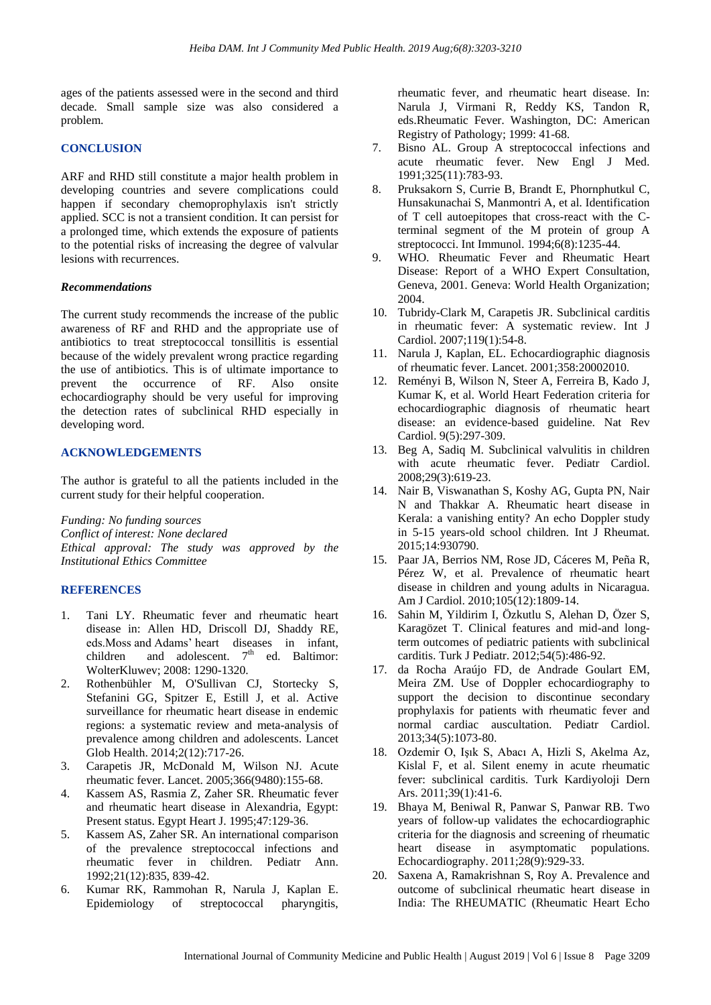ages of the patients assessed were in the second and third decade. Small sample size was also considered a problem.

# **CONCLUSION**

ARF and RHD still constitute a major health problem in developing countries and severe complications could happen if secondary chemoprophylaxis isn't strictly applied. SCC is not a transient condition. It can persist for a prolonged time, which extends the exposure of patients to the potential risks of increasing the degree of valvular lesions with recurrences.

### *Recommendations*

The current study recommends the increase of the public awareness of RF and RHD and the appropriate use of antibiotics to treat streptococcal tonsillitis is essential because of the widely prevalent wrong practice regarding the use of antibiotics. This is of ultimate importance to prevent the occurrence of RF. Also onsite echocardiography should be very useful for improving the detection rates of subclinical RHD especially in developing word.

# **ACKNOWLEDGEMENTS**

The author is grateful to all the patients included in the current study for their helpful cooperation.

*Funding: No funding sources Conflict of interest: None declared Ethical approval: The study was approved by the Institutional Ethics Committee*

### **REFERENCES**

- 1. Tani LY. Rheumatic fever and rheumatic heart disease in: Allen HD, Driscoll DJ, Shaddy RE, eds.Moss and Adams' heart diseases in infant, children and adolescent.  $7<sup>th</sup>$  ed. Baltimor: WolterKluwev; 2008: 1290-1320.
- 2. Rothenbühler M, O'Sullivan CJ, Stortecky S, Stefanini GG, Spitzer E, Estill J, et al. Active surveillance for rheumatic heart disease in endemic regions: a systematic review and meta-analysis of prevalence among children and adolescents. Lancet Glob Health. 2014;2(12):717-26.
- 3. Carapetis JR, McDonald M, Wilson NJ. Acute rheumatic fever. Lancet. 2005;366(9480):155-68.
- 4. Kassem AS, Rasmia Z, Zaher SR. Rheumatic fever and rheumatic heart disease in Alexandria, Egypt: Present status. Egypt Heart J. 1995;47:129-36.
- 5. Kassem AS, Zaher SR. An international comparison of the prevalence streptococcal infections and rheumatic fever in children. Pediatr Ann. 1992;21(12):835, 839-42.
- 6. Kumar RK, Rammohan R, Narula J, Kaplan E. Epidemiology of streptococcal pharyngitis,

rheumatic fever, and rheumatic heart disease. In: Narula J, Virmani R, Reddy KS, Tandon R, eds.Rheumatic Fever. Washington, DC: American Registry of Pathology; 1999: 41-68.

- 7. Bisno AL. Group A streptococcal infections and acute rheumatic fever. New Engl J Med. 1991;325(11):783-93.
- 8. Pruksakorn S, Currie B, Brandt E, Phornphutkul C, Hunsakunachai S, Manmontri A, et al. Identification of T cell autoepitopes that cross-react with the Cterminal segment of the M protein of group A streptococci. Int Immunol. 1994;6(8):1235-44.
- 9. WHO. Rheumatic Fever and Rheumatic Heart Disease: Report of a WHO Expert Consultation, Geneva, 2001. Geneva: World Health Organization; 2004.
- 10. Tubridy-Clark M, Carapetis JR. Subclinical carditis in rheumatic fever: A systematic review. Int J Cardiol. 2007;119(1):54-8.
- 11. Narula J, Kaplan, EL. Echocardiographic diagnosis of rheumatic fever. Lancet. 2001;358:20002010.
- 12. Reményi B, Wilson N, Steer A, Ferreira B, Kado J, Kumar K, et al. World Heart Federation criteria for echocardiographic diagnosis of rheumatic heart disease: an evidence-based guideline. Nat Rev Cardiol. 9(5):297-309.
- 13. Beg A, Sadiq M. Subclinical valvulitis in children with acute rheumatic fever. Pediatr Cardiol. 2008;29(3):619-23.
- 14. Nair B, Viswanathan S, Koshy AG, Gupta PN, Nair N and Thakkar A. Rheumatic heart disease in Kerala: a vanishing entity? An echo Doppler study in 5-15 years-old school children. Int J Rheumat. 2015;14:930790.
- 15. Paar JA, Berrios NM, Rose JD, Cáceres M, Peña R, Pérez W, et al. Prevalence of rheumatic heart disease in children and young adults in Nicaragua. Am J Cardiol. 2010;105(12):1809-14.
- 16. Sahin M, Yildirim I, Özkutlu S, Alehan D, Özer S, Karagözet T. Clinical features and mid-and longterm outcomes of pediatric patients with subclinical carditis. Turk J Pediatr. 2012;54(5):486-92.
- 17. da Rocha Araújo FD, de Andrade Goulart EM, Meira ZM. Use of Doppler echocardiography to support the decision to discontinue secondary prophylaxis for patients with rheumatic fever and normal cardiac auscultation. Pediatr Cardiol. 2013;34(5):1073-80.
- 18. Ozdemir O, Işık S, Abacı A, Hizli S, Akelma Az, Kislal F, et al. Silent enemy in acute rheumatic fever: subclinical carditis. Turk Kardiyoloji Dern Ars. 2011;39(1):41-6.
- 19. Bhaya M, Beniwal R, Panwar S, Panwar RB. Two years of follow-up validates the echocardiographic criteria for the diagnosis and screening of rheumatic heart disease in asymptomatic populations. Echocardiography. 2011;28(9):929-33.
- 20. Saxena A, Ramakrishnan S, Roy A. Prevalence and outcome of subclinical rheumatic heart disease in India: The RHEUMATIC (Rheumatic Heart Echo